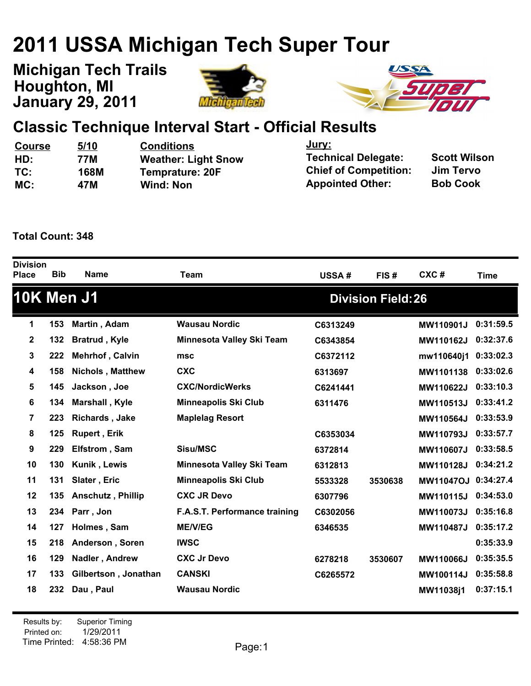# **2011 USSA Michigan Tech Super Tour**

**January 29, 2011 Michigan Tech Trails Houghton, MI**





## **Classic Technique Interval Start - Official Results**

| <b>Course</b> | 5/10        | <b>Conditions</b>          | <u>Jury:</u>                 | <b>Scott Wilson</b> |
|---------------|-------------|----------------------------|------------------------------|---------------------|
| HD:           | 77M         | <b>Weather: Light Snow</b> | <b>Technical Delegate:</b>   |                     |
| TC:           | <b>168M</b> | <b>Temprature: 20F</b>     | <b>Chief of Competition:</b> | Jim Tervo           |
| MC:           | 47M         | <b>Wind: Non</b>           | <b>Appointed Other:</b>      | <b>Bob Cook</b>     |
|               |             |                            |                              |                     |

#### **Total Count: 348**

| <b>Division</b><br><b>Place</b> | <b>Bib</b> | <b>Name</b>              | <b>Team</b>                   | USSA#    | FIS#                      | CXC#             | <b>Time</b> |
|---------------------------------|------------|--------------------------|-------------------------------|----------|---------------------------|------------------|-------------|
| <b>10K Men J1</b>               |            |                          |                               |          | <b>Division Field: 26</b> |                  |             |
| 1                               | 153        | Martin, Adam             | <b>Wausau Nordic</b>          | C6313249 |                           | MW110901J        | 0:31:59.5   |
| $\mathbf 2$                     | 132        | <b>Bratrud</b> , Kyle    | Minnesota Valley Ski Team     | C6343854 |                           | MW110162J        | 0:32:37.6   |
| 3                               | 222        | Mehrhof, Calvin          | msc                           | C6372112 |                           | mw110640j1       | 0:33:02.3   |
| 4                               | 158        | <b>Nichols, Matthew</b>  | <b>CXC</b>                    | 6313697  |                           | MW1101138        | 0:33:02.6   |
| 5                               | 145        | Jackson, Joe             | <b>CXC/NordicWerks</b>        | C6241441 |                           | MW110622J        | 0:33:10.3   |
| 6                               | 134        | Marshall, Kyle           | <b>Minneapolis Ski Club</b>   | 6311476  |                           | MW110513J        | 0:33:41.2   |
| 7                               | 223        | <b>Richards, Jake</b>    | <b>Maplelag Resort</b>        |          |                           | MW110564J        | 0:33:53.9   |
| 8                               | 125        | <b>Rupert, Erik</b>      |                               | C6353034 |                           | MW110793J        | 0:33:57.7   |
| 9                               | 229        | Elfstrom, Sam            | <b>Sisu/MSC</b>               | 6372814  |                           | MW110607J        | 0:33:58.5   |
| 10                              | 130        | Kunik, Lewis             | Minnesota Valley Ski Team     | 6312813  |                           | MW110128J        | 0:34:21.2   |
| 11                              | 131        | Slater, Eric             | <b>Minneapolis Ski Club</b>   | 5533328  | 3530638                   | <b>MW11047OJ</b> | 0:34:27.4   |
| 12                              | 135        | <b>Anschutz, Phillip</b> | <b>CXC JR Devo</b>            | 6307796  |                           | MW110115J        | 0:34:53.0   |
| 13                              | 234        | Parr, Jon                | F.A.S.T. Performance training | C6302056 |                           | MW110073J        | 0:35:16.8   |
| 14                              | 127        | Holmes, Sam              | <b>ME/V/EG</b>                | 6346535  |                           | MW110487J        | 0:35:17.2   |
| 15                              | 218        | Anderson, Soren          | <b>IWSC</b>                   |          |                           |                  | 0:35:33.9   |
| 16                              | 129        | Nadler, Andrew           | <b>CXC Jr Devo</b>            | 6278218  | 3530607                   | MW110066J        | 0:35:35.5   |
| 17                              | 133        | Gilbertson, Jonathan     | <b>CANSKI</b>                 | C6265572 |                           | MW100114J        | 0:35:58.8   |
| 18                              | 232        | Dau, Paul                | <b>Wausau Nordic</b>          |          |                           | MW11038j1        | 0:37:15.1   |
|                                 |            |                          |                               |          |                           |                  |             |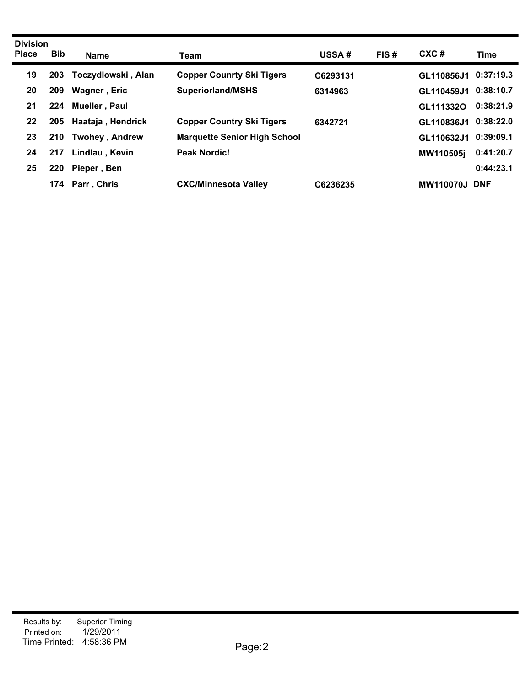| <b>Division</b><br><b>Place</b> | <b>Bib</b> | <b>Name</b>           | Team                                | <b>USSA#</b> | FIS# | CXC#                 | <b>Time</b> |
|---------------------------------|------------|-----------------------|-------------------------------------|--------------|------|----------------------|-------------|
| 19                              | 203        | Toczydlowski, Alan    | <b>Copper Counrty Ski Tigers</b>    | C6293131     |      | GL110856J1           | 0:37:19.3   |
| 20                              | 209        | Wagner, Eric          | <b>Superiorland/MSHS</b>            | 6314963      |      | GL110459J1 0:38:10.7 |             |
| 21                              | 224        | Mueller, Paul         |                                     |              |      | GL1113320            | 0:38:21.9   |
| 22                              | 205        | Haataja, Hendrick     | <b>Copper Country Ski Tigers</b>    | 6342721      |      | GL110836J1 0:38:22.0 |             |
| 23                              | 210        | <b>Twohey, Andrew</b> | <b>Marquette Senior High School</b> |              |      | GL110632J1 0:39:09.1 |             |
| 24                              | 217        | Lindlau, Kevin        | <b>Peak Nordic!</b>                 |              |      | MW110505j            | 0:41:20.7   |
| 25                              | 220        | Pieper, Ben           |                                     |              |      |                      | 0:44:23.1   |
|                                 | 174        | Parr, Chris           | <b>CXC/Minnesota Valley</b>         | C6236235     |      | <b>MW110070J DNF</b> |             |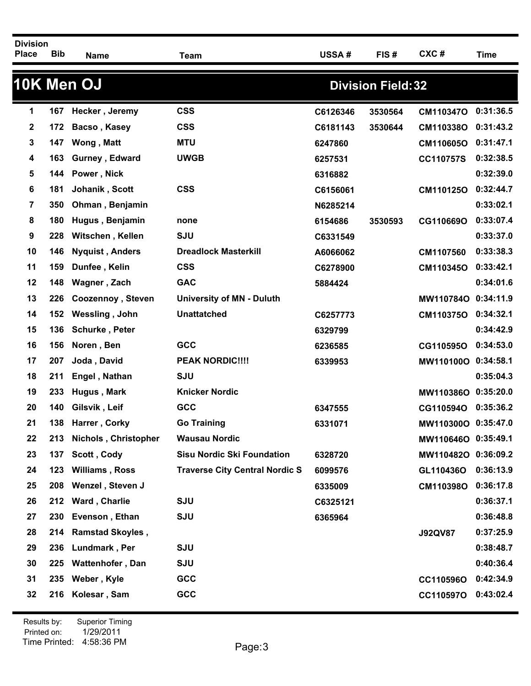| <b>Division</b><br><b>Place</b> | <b>Bib</b> | <b>Name</b>             | <b>Team</b>                           | USSA#    | FIS#                      | CXC#                | <b>Time</b> |
|---------------------------------|------------|-------------------------|---------------------------------------|----------|---------------------------|---------------------|-------------|
|                                 |            | 10K Men OJ              |                                       |          | <b>Division Field: 32</b> |                     |             |
| 1                               | 167        | Hecker, Jeremy          | <b>CSS</b>                            | C6126346 | 3530564                   | CM110347O           | 0:31:36.5   |
| 2                               | 172        | Bacso, Kasey            | <b>CSS</b>                            | C6181143 | 3530644                   | CM110338O           | 0:31:43.2   |
| 3                               | 147        | Wong, Matt              | <b>MTU</b>                            | 6247860  |                           | CM110605O           | 0:31:47.1   |
| 4                               | 163        | Gurney, Edward          | <b>UWGB</b>                           | 6257531  |                           | CC110757S           | 0:32:38.5   |
| 5                               | 144        | Power, Nick             |                                       | 6316882  |                           |                     | 0:32:39.0   |
| 6                               | 181        | Johanik, Scott          | <b>CSS</b>                            | C6156061 |                           | CM110125O           | 0:32:44.7   |
| 7                               | 350        | Ohman, Benjamin         |                                       | N6285214 |                           |                     | 0:33:02.1   |
| 8                               | 180        | Hugus, Benjamin         | none                                  | 6154686  | 3530593                   | CG110669O           | 0:33:07.4   |
| 9                               | 228        | Witschen, Kellen        | <b>SJU</b>                            | C6331549 |                           |                     | 0:33:37.0   |
| 10                              | 146        | <b>Nyquist, Anders</b>  | <b>Dreadlock Masterkill</b>           | A6066062 |                           | CM1107560           | 0:33:38.3   |
| 11                              | 159        | Dunfee, Kelin           | <b>CSS</b>                            | C6278900 |                           | CM110345O           | 0:33:42.1   |
| 12                              | 148        | Wagner, Zach            | <b>GAC</b>                            | 5884424  |                           |                     | 0:34:01.6   |
| 13                              | 226        | Coozennoy, Steven       | <b>University of MN - Duluth</b>      |          |                           | MW110784O           | 0:34:11.9   |
| 14                              | 152        | Wessling, John          | <b>Unattatched</b>                    | C6257773 |                           | CM110375O           | 0:34:32.1   |
| 15                              | 136        | Schurke, Peter          |                                       | 6329799  |                           |                     | 0:34:42.9   |
| 16                              | 156        | Noren, Ben              | GCC                                   | 6236585  |                           | CG110595O           | 0:34:53.0   |
| 17                              | 207        | Joda, David             | <b>PEAK NORDIC!!!!</b>                | 6339953  |                           | MW110100O 0:34:58.1 |             |
| 18                              | 211        | Engel, Nathan           | <b>SJU</b>                            |          |                           |                     | 0:35:04.3   |
| 19                              | 233        | Hugus, Mark             | <b>Knicker Nordic</b>                 |          |                           | MW110386O 0:35:20.0 |             |
| 20                              | 140        | Gilsvik, Leif           | GCC                                   | 6347555  |                           | CG110594O           | 0:35:36.2   |
| 21                              | 138        | Harrer, Corky           | <b>Go Training</b>                    | 6331071  |                           | MW110300O 0:35:47.0 |             |
| 22                              | 213        | Nichols, Christopher    | <b>Wausau Nordic</b>                  |          |                           | MW110646O 0:35:49.1 |             |
| 23                              | 137        | Scott, Cody             | <b>Sisu Nordic Ski Foundation</b>     | 6328720  |                           | MW110482O 0:36:09.2 |             |
| 24                              | 123        | <b>Williams, Ross</b>   | <b>Traverse City Central Nordic S</b> | 6099576  |                           | GL110436O           | 0:36:13.9   |
| 25                              | 208        | Wenzel, Steven J        |                                       | 6335009  |                           | CM110398O           | 0:36:17.8   |
| 26                              | 212        | Ward, Charlie           | SJU                                   | C6325121 |                           |                     | 0:36:37.1   |
| 27                              | 230        | Evenson, Ethan          | SJU                                   | 6365964  |                           |                     | 0:36:48.8   |
| 28                              | 214        | <b>Ramstad Skoyles,</b> |                                       |          |                           | <b>J92QV87</b>      | 0:37:25.9   |
| 29                              | 236        | Lundmark, Per           | <b>SJU</b>                            |          |                           |                     | 0:38:48.7   |
| 30                              | 225        | <b>Wattenhofer, Dan</b> | SJU                                   |          |                           |                     | 0:40:36.4   |
| 31                              | 235        | Weber, Kyle             | GCC                                   |          |                           | CC110596O           | 0:42:34.9   |
| 32                              | 216        | Kolesar, Sam            | GCC                                   |          |                           | CC110597O           | 0:43:02.4   |
|                                 |            |                         |                                       |          |                           |                     |             |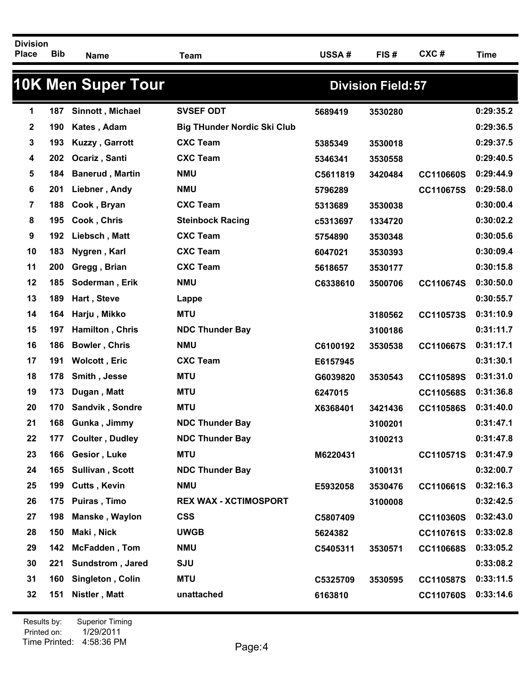| <b>Division</b><br><b>Place</b> | <b>Bib</b> | <b>Name</b>               | <b>Team</b>                        | USSA#    | FIS#                      | CXC#      | <b>Time</b> |
|---------------------------------|------------|---------------------------|------------------------------------|----------|---------------------------|-----------|-------------|
|                                 |            | <b>10K Men Super Tour</b> |                                    |          | <b>Division Field: 57</b> |           |             |
| 1                               | 187        | Sinnott, Michael          | <b>SVSEF ODT</b>                   | 5689419  | 3530280                   |           | 0:29:35.2   |
| 2                               | 190        | Kates, Adam               | <b>Big THunder Nordic Ski Club</b> |          |                           |           | 0:29:36.5   |
| 3                               | 193        | Kuzzy, Garrott            | <b>CXC Team</b>                    | 5385349  | 3530018                   |           | 0:29:37.5   |
| 4                               | 202        | Ocariz, Santi             | <b>CXC Team</b>                    | 5346341  | 3530558                   |           | 0:29:40.5   |
| 5                               | 184        | <b>Banerud, Martin</b>    | <b>NMU</b>                         | C5611819 | 3420484                   | CC110660S | 0:29:44.9   |
| 6                               | 201        | Liebner, Andy             | <b>NMU</b>                         | 5796289  |                           | CC110675S | 0:29:58.0   |
| 7                               | 188        | Cook, Bryan               | <b>CXC Team</b>                    | 5313689  | 3530038                   |           | 0:30:00.4   |
| 8                               | 195        | Cook, Chris               | <b>Steinbock Racing</b>            | c5313697 | 1334720                   |           | 0:30:02.2   |
| 9                               | 192        | Liebsch, Matt             | <b>CXC Team</b>                    | 5754890  | 3530348                   |           | 0:30:05.6   |
| 10                              | 183        | Nygren, Karl              | <b>CXC Team</b>                    | 6047021  | 3530393                   |           | 0:30:09.4   |
| 11                              | 200        | Gregg, Brian              | <b>CXC Team</b>                    | 5618657  | 3530177                   |           | 0:30:15.8   |
| 12                              | 185        | Soderman, Erik            | <b>NMU</b>                         | C6338610 | 3500706                   | CC110674S | 0:30:50.0   |
| 13                              | 189        | Hart, Steve               | Lappe                              |          |                           |           | 0:30:55.7   |
| 14                              | 164        | Harju, Mikko              | <b>MTU</b>                         |          | 3180562                   | CC110573S | 0:31:10.9   |
| 15                              | 197        | Hamilton, Chris           | <b>NDC Thunder Bay</b>             |          | 3100186                   |           | 0:31:11.7   |
| 16                              | 186        | <b>Bowler, Chris</b>      | <b>NMU</b>                         | C6100192 | 3530538                   | CC110667S | 0:31:17.1   |
| 17                              | 191        | <b>Wolcott, Eric</b>      | <b>CXC Team</b>                    | E6157945 |                           |           | 0:31:30.1   |
| 18                              | 178        | Smith, Jesse              | <b>MTU</b>                         | G6039820 | 3530543                   | CC110589S | 0:31:31.0   |
| 19                              | 173        | Dugan, Matt               | <b>MTU</b>                         | 6247015  |                           | CC110568S | 0:31:36.8   |
| 20                              | 170        | Sandvik, Sondre           | <b>MTU</b>                         | X6368401 | 3421436                   | CC110586S | 0:31:40.0   |
| 21                              | 168        | Gunka, Jimmy              | <b>NDC Thunder Bay</b>             |          | 3100201                   |           | 0:31:47.1   |
| 22                              | 177        | <b>Coulter, Dudley</b>    | <b>NDC Thunder Bay</b>             |          | 3100213                   |           | 0:31:47.8   |
| 23                              | 166        | Gesior, Luke              | <b>MTU</b>                         | M6220431 |                           | CC110571S | 0:31:47.9   |
| 24                              | 165        | Sullivan, Scott           | <b>NDC Thunder Bay</b>             |          | 3100131                   |           | 0:32:00.7   |
| 25                              | 199        | <b>Cutts, Kevin</b>       | <b>NMU</b>                         | E5932058 | 3530476                   | CC110661S | 0:32:16.3   |
| 26                              | 175        | Puiras, Timo              | <b>REX WAX - XCTIMOSPORT</b>       |          | 3100008                   |           | 0:32:42.5   |
| 27                              | 198        | Manske, Waylon            | <b>CSS</b>                         | C5807409 |                           | CC110360S | 0:32:43.0   |
| 28                              | 150        | Maki, Nick                | <b>UWGB</b>                        | 5624382  |                           | CC110761S | 0:33:02.8   |
| 29                              | 142        | McFadden, Tom             | <b>NMU</b>                         | C5405311 | 3530571                   | CC110668S | 0:33:05.2   |
| 30                              | 221        | Sundstrom, Jared          | <b>SJU</b>                         |          |                           |           | 0:33:08.2   |
| 31                              | 160        | Singleton, Colin          | <b>MTU</b>                         | C5325709 | 3530595                   | CC110587S | 0:33:11.5   |
| 32                              | 151        | Nistler, Matt             | unattached                         | 6163810  |                           | CC110760S | 0:33:14.6   |
|                                 |            |                           |                                    |          |                           |           |             |

Printed on: Time Printed: 4:58:36 PMResults by: Superior Timing 1/29/2011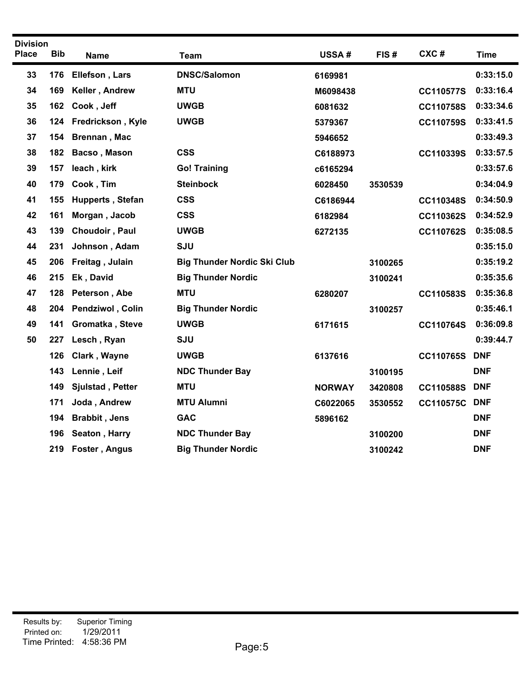| <b>Division</b> |            |                      |                                    |               |         |                  |             |
|-----------------|------------|----------------------|------------------------------------|---------------|---------|------------------|-------------|
| <b>Place</b>    | <b>Bib</b> | <b>Name</b>          | <b>Team</b>                        | USSA#         | FIS#    | CXC#             | <b>Time</b> |
| 33              | 176        | Ellefson, Lars       | <b>DNSC/Salomon</b>                | 6169981       |         |                  | 0:33:15.0   |
| 34              | 169        | Keller, Andrew       | <b>MTU</b>                         | M6098438      |         | CC110577S        | 0:33:16.4   |
| 35              | 162        | Cook, Jeff           | <b>UWGB</b>                        | 6081632       |         | CC110758S        | 0:33:34.6   |
| 36              | 124        | Fredrickson, Kyle    | <b>UWGB</b>                        | 5379367       |         | CC110759S        | 0:33:41.5   |
| 37              | 154        | <b>Brennan, Mac</b>  |                                    | 5946652       |         |                  | 0:33:49.3   |
| 38              | 182        | Bacso, Mason         | <b>CSS</b>                         | C6188973      |         | CC110339S        | 0:33:57.5   |
| 39              | 157        | leach, kirk          | <b>Go! Training</b>                | c6165294      |         |                  | 0:33:57.6   |
| 40              | 179        | Cook, Tim            | <b>Steinbock</b>                   | 6028450       | 3530539 |                  | 0:34:04.9   |
| 41              | 155        | Hupperts, Stefan     | <b>CSS</b>                         | C6186944      |         | CC110348S        | 0:34:50.9   |
| 42              | 161        | Morgan, Jacob        | <b>CSS</b>                         | 6182984       |         | CC110362S        | 0:34:52.9   |
| 43              | 139        | Choudoir, Paul       | <b>UWGB</b>                        | 6272135       |         | CC110762S        | 0:35:08.5   |
| 44              | 231        | Johnson, Adam        | <b>SJU</b>                         |               |         |                  | 0:35:15.0   |
| 45              | 206        | Freitag, Julain      | <b>Big Thunder Nordic Ski Club</b> |               | 3100265 |                  | 0:35:19.2   |
| 46              | 215        | Ek, David            | <b>Big Thunder Nordic</b>          |               | 3100241 |                  | 0:35:35.6   |
| 47              | 128        | Peterson, Abe        | <b>MTU</b>                         | 6280207       |         | CC110583S        | 0:35:36.8   |
| 48              | 204        | Pendziwol, Colin     | <b>Big Thunder Nordic</b>          |               | 3100257 |                  | 0:35:46.1   |
| 49              | 141        | Gromatka, Steve      | <b>UWGB</b>                        | 6171615       |         | CC110764S        | 0:36:09.8   |
| 50              | 227        | Lesch, Ryan          | SJU                                |               |         |                  | 0:39:44.7   |
|                 | 126        | Clark, Wayne         | <b>UWGB</b>                        | 6137616       |         | CC110765S        | <b>DNF</b>  |
|                 | 143        | Lennie, Leif         | <b>NDC Thunder Bay</b>             |               | 3100195 |                  | <b>DNF</b>  |
|                 | 149        | Sjulstad, Petter     | <b>MTU</b>                         | <b>NORWAY</b> | 3420808 | CC110588S        | <b>DNF</b>  |
|                 | 171        | Joda, Andrew         | <b>MTU Alumni</b>                  | C6022065      | 3530552 | <b>CC110575C</b> | <b>DNF</b>  |
|                 | 194        | <b>Brabbit, Jens</b> | <b>GAC</b>                         | 5896162       |         |                  | <b>DNF</b>  |
|                 | 196        | Seaton, Harry        | <b>NDC Thunder Bay</b>             |               | 3100200 |                  | <b>DNF</b>  |
|                 | 219        | Foster, Angus        | <b>Big Thunder Nordic</b>          |               | 3100242 |                  | <b>DNF</b>  |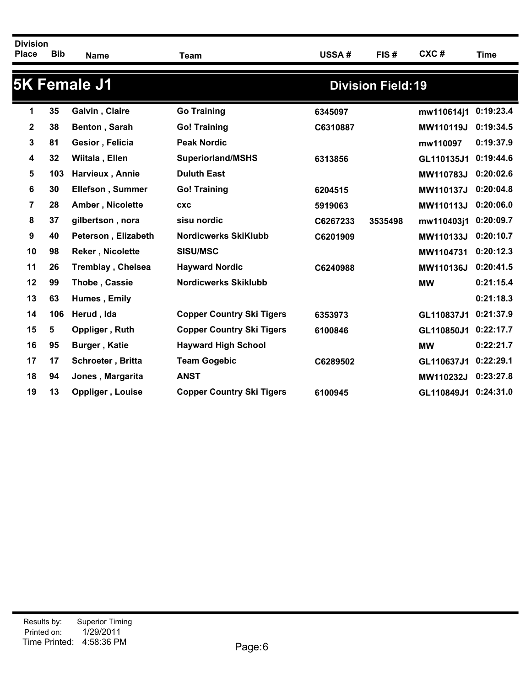| <b>Division</b><br><b>Place</b> | <b>Bib</b> | Name                     | <b>Team</b>                      | USSA#    | FIS#                      | CXC#       | <b>Time</b> |
|---------------------------------|------------|--------------------------|----------------------------------|----------|---------------------------|------------|-------------|
|                                 |            | <b>5K Female J1</b>      |                                  |          | <b>Division Field: 19</b> |            |             |
| 1                               | 35         | Galvin, Claire           | <b>Go Training</b>               | 6345097  |                           | mw110614j1 | 0:19:23.4   |
| 2                               | 38         | Benton, Sarah            | <b>Go! Training</b>              | C6310887 |                           | MW110119J  | 0:19:34.5   |
| 3                               | 81         | Gesior, Felicia          | <b>Peak Nordic</b>               |          |                           | mw110097   | 0:19:37.9   |
| 4                               | 32         | Wiitala, Ellen           | <b>Superiorland/MSHS</b>         | 6313856  |                           | GL110135J1 | 0:19:44.6   |
| 5                               | 103        | Harvieux, Annie          | <b>Duluth East</b>               |          |                           | MW110783J  | 0:20:02.6   |
| 6                               | 30         | <b>Ellefson, Summer</b>  | <b>Go! Training</b>              | 6204515  |                           | MW110137J  | 0:20:04.8   |
| 7                               | 28         | Amber, Nicolette         | <b>CXC</b>                       | 5919063  |                           | MW110113J  | 0:20:06.0   |
| 8                               | 37         | gilbertson, nora         | sisu nordic                      | C6267233 | 3535498                   | mw110403j1 | 0:20:09.7   |
| 9                               | 40         | Peterson, Elizabeth      | <b>Nordicwerks SkiKlubb</b>      | C6201909 |                           | MW110133J  | 0:20:10.7   |
| 10                              | 98         | <b>Reker, Nicolette</b>  | <b>SISU/MSC</b>                  |          |                           | MW1104731  | 0:20:12.3   |
| 11                              | 26         | <b>Tremblay, Chelsea</b> | <b>Hayward Nordic</b>            | C6240988 |                           | MW110136J  | 0:20:41.5   |
| 12                              | 99         | Thobe, Cassie            | <b>Nordicwerks Skiklubb</b>      |          |                           | <b>MW</b>  | 0:21:15.4   |
| 13                              | 63         | Humes, Emily             |                                  |          |                           |            | 0:21:18.3   |
| 14                              | 106        | Herud, Ida               | <b>Copper Country Ski Tigers</b> | 6353973  |                           | GL110837J1 | 0:21:37.9   |
| 15                              | 5          | Oppliger, Ruth           | <b>Copper Country Ski Tigers</b> | 6100846  |                           | GL110850J1 | 0:22:17.7   |
| 16                              | 95         | <b>Burger, Katie</b>     | <b>Hayward High School</b>       |          |                           | <b>MW</b>  | 0:22:21.7   |
| 17                              | 17         | Schroeter, Britta        | <b>Team Gogebic</b>              | C6289502 |                           | GL110637J1 | 0:22:29.1   |
| 18                              | 94         | Jones, Margarita         | <b>ANST</b>                      |          |                           | MW110232J  | 0:23:27.8   |
| 19                              | 13         | Oppliger, Louise         | <b>Copper Country Ski Tigers</b> | 6100945  |                           | GL110849J1 | 0:24:31.0   |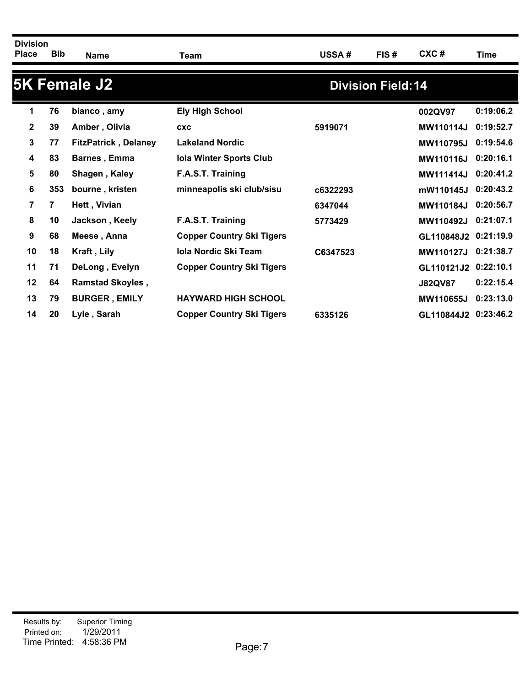| <b>Division</b><br><b>Place</b> | <b>Bib</b> | <b>Name</b>                 | Team                             | <b>USSA#</b> | FIS#                      | CXC#                 | Time      |
|---------------------------------|------------|-----------------------------|----------------------------------|--------------|---------------------------|----------------------|-----------|
|                                 |            | <b>5K Female J2</b>         |                                  |              | <b>Division Field: 14</b> |                      |           |
| 1                               | 76         | bianco, amy                 | <b>Ely High School</b>           |              |                           | 002QV97              | 0:19:06.2 |
| $\mathbf{2}$                    | 39         | Amber, Olivia               | <b>CXC</b>                       | 5919071      |                           | MW110114J            | 0:19:52.7 |
| 3                               | 77         | <b>FitzPatrick, Delaney</b> | <b>Lakeland Nordic</b>           |              |                           | <b>MW110795J</b>     | 0:19:54.6 |
| 4                               | 83         | <b>Barnes, Emma</b>         | <b>Iola Winter Sports Club</b>   |              |                           | <b>MW110116J</b>     | 0:20:16.1 |
| 5                               | 80         | Shagen, Kaley               | F.A.S.T. Training                |              |                           | <b>MW111414J</b>     | 0:20:41.2 |
| 6                               | 353        | bourne, kristen             | minneapolis ski club/sisu        | c6322293     |                           | mW110145J            | 0:20:43.2 |
| $\overline{7}$                  | 7          | Hett, Vivian                |                                  | 6347044      |                           | <b>MW110184J</b>     | 0:20:56.7 |
| 8                               | 10         | Jackson, Keely              | F.A.S.T. Training                | 5773429      |                           | MW110492J            | 0:21:07.1 |
| 9                               | 68         | Meese, Anna                 | <b>Copper Country Ski Tigers</b> |              |                           | GL110848J2           | 0:21:19.9 |
| 10                              | 18         | Kraft, Lily                 | <b>Iola Nordic Ski Team</b>      | C6347523     |                           | <b>MW110127J</b>     | 0:21:38.7 |
| 11                              | 71         | DeLong, Evelyn              | <b>Copper Country Ski Tigers</b> |              |                           | GL110121J2 0:22:10.1 |           |
| $12 \,$                         | 64         | <b>Ramstad Skoyles,</b>     |                                  |              |                           | <b>J82QV87</b>       | 0:22:15.4 |
| 13                              | 79         | <b>BURGER, EMILY</b>        | <b>HAYWARD HIGH SCHOOL</b>       |              |                           | MW110655J            | 0:23:13.0 |
| 14                              | 20         | Lyle, Sarah                 | <b>Copper Country Ski Tigers</b> | 6335126      |                           | GL110844J2 0:23:46.2 |           |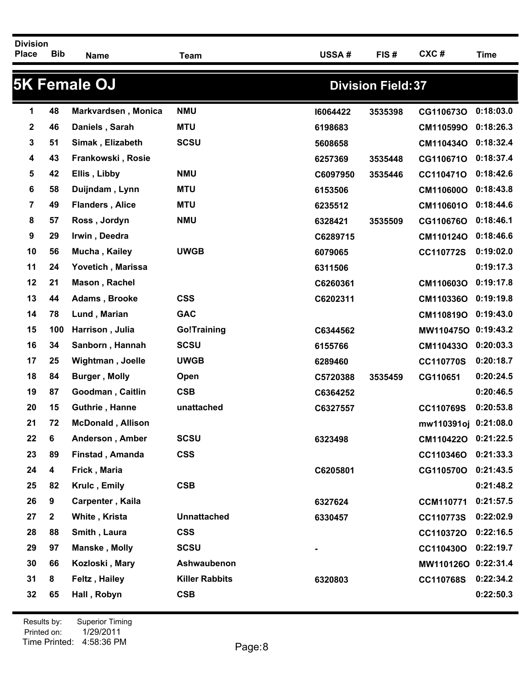| <b>Division</b><br><b>Place</b> | <b>Bib</b>   | <b>Name</b>              | <b>Team</b>           | USSA#    | FIS#                      | CXC#                 | <b>Time</b> |
|---------------------------------|--------------|--------------------------|-----------------------|----------|---------------------------|----------------------|-------------|
|                                 |              | <b>5K Female OJ</b>      |                       |          | <b>Division Field: 37</b> |                      |             |
| 1                               | 48           | Markvardsen, Monica      | <b>NMU</b>            | 16064422 | 3535398                   | CG110673O            | 0:18:03.0   |
| 2                               | 46           | Daniels, Sarah           | <b>MTU</b>            | 6198683  |                           | CM110599O            | 0:18:26.3   |
| 3                               | 51           | Simak, Elizabeth         | <b>SCSU</b>           | 5608658  |                           | CM110434O            | 0:18:32.4   |
| 4                               | 43           | Frankowski, Rosie        |                       | 6257369  | 3535448                   | CG110671O            | 0:18:37.4   |
| 5                               | 42           | Ellis, Libby             | <b>NMU</b>            | C6097950 | 3535446                   | CC110471O            | 0:18:42.6   |
| 6                               | 58           | Duijndam, Lynn           | <b>MTU</b>            | 6153506  |                           | CM110600O            | 0:18:43.8   |
| 7                               | 49           | <b>Flanders, Alice</b>   | <b>MTU</b>            | 6235512  |                           | CM110601O            | 0:18:44.6   |
| 8                               | 57           | Ross, Jordyn             | <b>NMU</b>            | 6328421  | 3535509                   | CG110676O            | 0:18:46.1   |
| 9                               | 29           | Irwin, Deedra            |                       | C6289715 |                           | CM110124O            | 0:18:46.6   |
| 10                              | 56           | Mucha, Kailey            | <b>UWGB</b>           | 6079065  |                           | CC110772S            | 0:19:02.0   |
| 11                              | 24           | Yovetich, Marissa        |                       | 6311506  |                           |                      | 0:19:17.3   |
| 12                              | 21           | Mason, Rachel            |                       | C6260361 |                           | CM110603O            | 0:19:17.8   |
| 13                              | 44           | Adams, Brooke            | <b>CSS</b>            | C6202311 |                           | CM110336O            | 0:19:19.8   |
| 14                              | 78           | Lund, Marian             | <b>GAC</b>            |          |                           | CM110819O            | 0:19:43.0   |
| 15                              | 100          | Harrison, Julia          | <b>Go!Training</b>    | C6344562 |                           | MW110475O 0:19:43.2  |             |
| 16                              | 34           | Sanborn, Hannah          | <b>SCSU</b>           | 6155766  |                           | CM110433O            | 0:20:03.3   |
| 17                              | 25           | <b>Wightman, Joelle</b>  | <b>UWGB</b>           | 6289460  |                           | <b>CC110770S</b>     | 0:20:18.7   |
| 18                              | 84           | <b>Burger, Molly</b>     | Open                  | C5720388 | 3535459                   | CG110651             | 0:20:24.5   |
| 19                              | 87           | Goodman, Caitlin         | <b>CSB</b>            | C6364252 |                           |                      | 0:20:46.5   |
| 20                              | 15           | Guthrie, Hanne           | unattached            | C6327557 |                           | CC110769S            | 0:20:53.8   |
| 21                              | 72           | <b>McDonald, Allison</b> |                       |          |                           | mw110391oj 0:21:08.0 |             |
| 22                              | 6            | Anderson, Amber          | <b>SCSU</b>           | 6323498  |                           | CM110422O 0:21:22.5  |             |
| 23                              | 89           | Finstad, Amanda          | <b>CSS</b>            |          |                           | CC110346O            | 0:21:33.3   |
| 24                              | 4            | Frick, Maria             |                       | C6205801 |                           | CG110570O            | 0:21:43.5   |
| 25                              | 82           | Krulc, Emily             | <b>CSB</b>            |          |                           |                      | 0:21:48.2   |
| 26                              | 9            | Carpenter, Kaila         |                       | 6327624  |                           | <b>CCM110771</b>     | 0:21:57.5   |
| 27                              | $\mathbf{2}$ | White, Krista            | <b>Unnattached</b>    | 6330457  |                           | CC110773S            | 0:22:02.9   |
| 28                              | 88           | Smith, Laura             | <b>CSS</b>            |          |                           | CC110372O            | 0:22:16.5   |
| 29                              | 97           | Manske, Molly            | <b>SCSU</b>           |          |                           | CC110430O            | 0:22:19.7   |
| 30                              | 66           | Kozloski, Mary           | Ashwaubenon           |          |                           | MW110126O 0:22:31.4  |             |
| 31                              | 8            | <b>Feltz, Hailey</b>     | <b>Killer Rabbits</b> | 6320803  |                           | CC110768S            | 0:22:34.2   |
| 32                              | 65           | Hall, Robyn              | <b>CSB</b>            |          |                           |                      | 0:22:50.3   |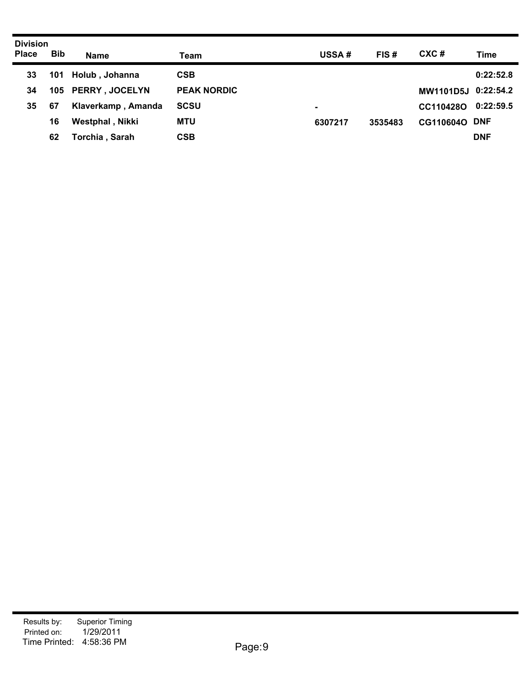| <b>Division</b><br><b>Place</b> | <b>Bib</b> | <b>Name</b>        | Team               | <b>USSA#</b> | FIS#    | CXC#                | <b>Time</b> |
|---------------------------------|------------|--------------------|--------------------|--------------|---------|---------------------|-------------|
| 33                              | 101        | Holub, Johanna     | <b>CSB</b>         |              |         |                     | 0:22:52.8   |
| 34                              |            | 105 PERRY, JOCELYN | <b>PEAK NORDIC</b> |              |         | MW1101D5J 0:22:54.2 |             |
| 35                              | 67         | Klaverkamp, Amanda | <b>SCSU</b>        | ۰            |         | CC110428O           | 0:22:59.5   |
|                                 | 16         | Westphal, Nikki    | <b>MTU</b>         | 6307217      | 3535483 | CG110604O DNF       |             |
|                                 | 62         | Torchia, Sarah     | <b>CSB</b>         |              |         |                     | <b>DNF</b>  |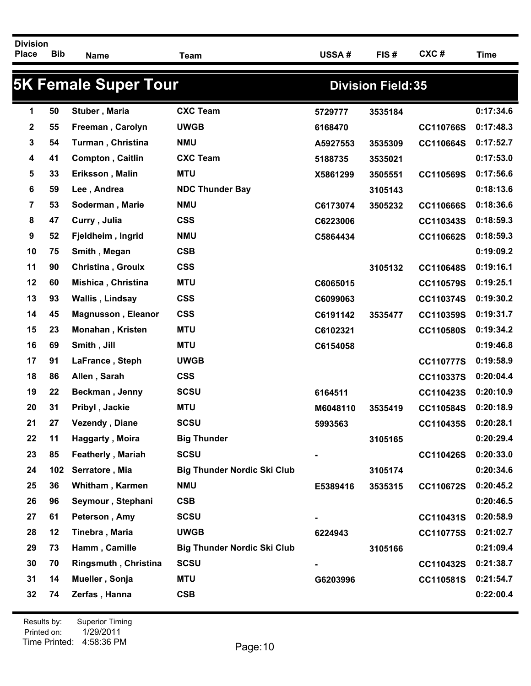| <b>5K Female Super Tour</b><br><b>Division Field: 35</b><br><b>CXC Team</b><br>50<br>Stuber, Maria<br>1<br>5729777<br>3535184<br>$\mathbf 2$<br>55<br><b>UWGB</b><br>Freeman, Carolyn<br>6168470<br>54<br>3<br>Turman, Christina<br><b>NMU</b><br>A5927553<br>3535309<br>41<br><b>CXC Team</b><br><b>Compton, Caitlin</b><br>4<br>5188735<br>3535021<br>33<br>5<br>Eriksson, Malin<br><b>MTU</b><br>X5861299<br>3505551<br>59<br>6<br>Lee, Andrea<br><b>NDC Thunder Bay</b><br>3105143<br>53<br>7<br>Soderman, Marie<br><b>NMU</b><br>C6173074<br>3505232<br>47<br><b>CSS</b><br>8<br>Curry, Julia<br>C6223006<br>52<br>9<br>Fjeldheim, Ingrid<br><b>NMU</b><br>C5864434<br>10<br>75<br><b>CSB</b><br>Smith, Megan<br>90<br><b>CSS</b><br>11<br><b>Christina, Groulx</b><br>3105132 |                  |           |
|-------------------------------------------------------------------------------------------------------------------------------------------------------------------------------------------------------------------------------------------------------------------------------------------------------------------------------------------------------------------------------------------------------------------------------------------------------------------------------------------------------------------------------------------------------------------------------------------------------------------------------------------------------------------------------------------------------------------------------------------------------------------------------------|------------------|-----------|
|                                                                                                                                                                                                                                                                                                                                                                                                                                                                                                                                                                                                                                                                                                                                                                                     |                  |           |
|                                                                                                                                                                                                                                                                                                                                                                                                                                                                                                                                                                                                                                                                                                                                                                                     |                  | 0:17:34.6 |
|                                                                                                                                                                                                                                                                                                                                                                                                                                                                                                                                                                                                                                                                                                                                                                                     | CC110766S        | 0:17:48.3 |
|                                                                                                                                                                                                                                                                                                                                                                                                                                                                                                                                                                                                                                                                                                                                                                                     | CC110664S        | 0:17:52.7 |
|                                                                                                                                                                                                                                                                                                                                                                                                                                                                                                                                                                                                                                                                                                                                                                                     |                  | 0:17:53.0 |
|                                                                                                                                                                                                                                                                                                                                                                                                                                                                                                                                                                                                                                                                                                                                                                                     | CC110569S        | 0:17:56.6 |
|                                                                                                                                                                                                                                                                                                                                                                                                                                                                                                                                                                                                                                                                                                                                                                                     |                  | 0:18:13.6 |
|                                                                                                                                                                                                                                                                                                                                                                                                                                                                                                                                                                                                                                                                                                                                                                                     | CC110666S        | 0:18:36.6 |
|                                                                                                                                                                                                                                                                                                                                                                                                                                                                                                                                                                                                                                                                                                                                                                                     | CC110343S        | 0:18:59.3 |
|                                                                                                                                                                                                                                                                                                                                                                                                                                                                                                                                                                                                                                                                                                                                                                                     | CC110662S        | 0:18:59.3 |
|                                                                                                                                                                                                                                                                                                                                                                                                                                                                                                                                                                                                                                                                                                                                                                                     |                  | 0:19:09.2 |
|                                                                                                                                                                                                                                                                                                                                                                                                                                                                                                                                                                                                                                                                                                                                                                                     | CC110648S        | 0:19:16.1 |
| 12<br>60<br><b>MTU</b><br>Mishica, Christina<br>C6065015                                                                                                                                                                                                                                                                                                                                                                                                                                                                                                                                                                                                                                                                                                                            | CC110579S        | 0:19:25.1 |
| 13<br>93<br><b>CSS</b><br>Wallis, Lindsay<br>C6099063                                                                                                                                                                                                                                                                                                                                                                                                                                                                                                                                                                                                                                                                                                                               | CC110374S        | 0:19:30.2 |
| 14<br>45<br><b>CSS</b><br><b>Magnusson, Eleanor</b><br>C6191142<br>3535477                                                                                                                                                                                                                                                                                                                                                                                                                                                                                                                                                                                                                                                                                                          | CC110359S        | 0:19:31.7 |
| <b>MTU</b><br>15<br>23<br>Monahan, Kristen<br>C6102321                                                                                                                                                                                                                                                                                                                                                                                                                                                                                                                                                                                                                                                                                                                              | CC110580S        | 0:19:34.2 |
| 16<br>69<br><b>MTU</b><br>Smith, Jill<br>C6154058                                                                                                                                                                                                                                                                                                                                                                                                                                                                                                                                                                                                                                                                                                                                   |                  | 0:19:46.8 |
| 91<br>17<br>LaFrance, Steph<br><b>UWGB</b>                                                                                                                                                                                                                                                                                                                                                                                                                                                                                                                                                                                                                                                                                                                                          | <b>CC110777S</b> | 0:19:58.9 |
| 18<br>86<br><b>CSS</b><br>Allen, Sarah                                                                                                                                                                                                                                                                                                                                                                                                                                                                                                                                                                                                                                                                                                                                              | CC110337S        | 0:20:04.4 |
| 22<br><b>SCSU</b><br>19<br>Beckman, Jenny<br>6164511                                                                                                                                                                                                                                                                                                                                                                                                                                                                                                                                                                                                                                                                                                                                | CC110423S        | 0:20:10.9 |
| 31<br><b>MTU</b><br>20<br>Pribyl, Jackie<br>M6048110<br>3535419                                                                                                                                                                                                                                                                                                                                                                                                                                                                                                                                                                                                                                                                                                                     | CC110584S        | 0:20:18.9 |
| 21<br>27<br><b>Vezendy, Diane</b><br><b>SCSU</b><br>5993563                                                                                                                                                                                                                                                                                                                                                                                                                                                                                                                                                                                                                                                                                                                         | CC110435S        | 0:20:28.1 |
| 22<br>11<br><b>Big Thunder</b><br>Haggarty, Moira<br>3105165                                                                                                                                                                                                                                                                                                                                                                                                                                                                                                                                                                                                                                                                                                                        |                  | 0:20:29.4 |
| 23<br>85<br><b>SCSU</b><br><b>Featherly, Mariah</b>                                                                                                                                                                                                                                                                                                                                                                                                                                                                                                                                                                                                                                                                                                                                 | CC110426S        | 0:20:33.0 |
| <b>Big Thunder Nordic Ski Club</b><br>24<br>102<br>Serratore, Mia<br>3105174                                                                                                                                                                                                                                                                                                                                                                                                                                                                                                                                                                                                                                                                                                        |                  | 0:20:34.6 |
| 25<br>36<br><b>Whitham, Karmen</b><br><b>NMU</b><br>E5389416<br>3535315                                                                                                                                                                                                                                                                                                                                                                                                                                                                                                                                                                                                                                                                                                             | CC110672S        | 0:20:45.2 |
| <b>CSB</b><br>26<br>96<br>Seymour, Stephani                                                                                                                                                                                                                                                                                                                                                                                                                                                                                                                                                                                                                                                                                                                                         |                  | 0:20:46.5 |
| 27<br>61<br>Peterson, Amy<br><b>SCSU</b>                                                                                                                                                                                                                                                                                                                                                                                                                                                                                                                                                                                                                                                                                                                                            | CC110431S        | 0:20:58.9 |
| 28<br>12<br><b>UWGB</b><br>Tinebra, Maria<br>6224943                                                                                                                                                                                                                                                                                                                                                                                                                                                                                                                                                                                                                                                                                                                                | CC110775S        | 0:21:02.7 |
| 29<br>73<br>Hamm, Camille<br><b>Big Thunder Nordic Ski Club</b><br>3105166                                                                                                                                                                                                                                                                                                                                                                                                                                                                                                                                                                                                                                                                                                          |                  | 0:21:09.4 |
| 30<br><b>SCSU</b><br>70<br><b>Ringsmuth, Christina</b>                                                                                                                                                                                                                                                                                                                                                                                                                                                                                                                                                                                                                                                                                                                              | CC110432S        | 0:21:38.7 |
| 14<br>31<br>Mueller, Sonja<br><b>MTU</b><br>G6203996                                                                                                                                                                                                                                                                                                                                                                                                                                                                                                                                                                                                                                                                                                                                | CC110581S        | 0:21:54.7 |
| 32<br><b>CSB</b><br>74<br>Zerfas, Hanna                                                                                                                                                                                                                                                                                                                                                                                                                                                                                                                                                                                                                                                                                                                                             |                  | 0:22:00.4 |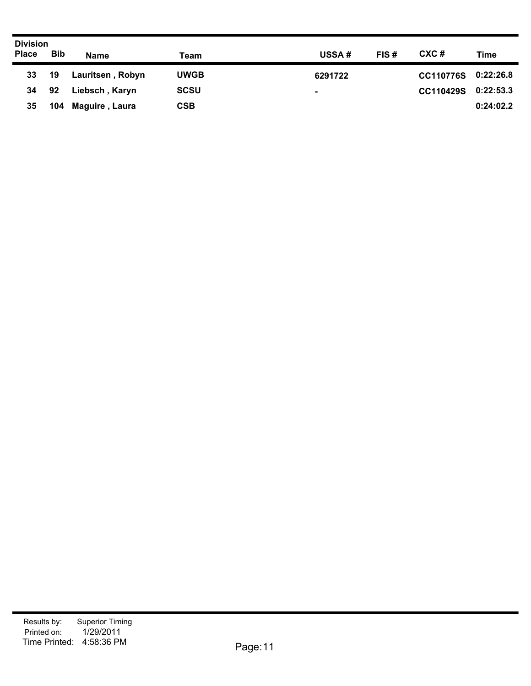| <b>Division</b> |            |                  |             |               |                               |  |
|-----------------|------------|------------------|-------------|---------------|-------------------------------|--|
| <b>Place</b>    | <b>Bib</b> | <b>Name</b>      | Team        | FIS#<br>USSA# | CXC#<br>Time                  |  |
| 33 <sub>o</sub> | 19         | Lauritsen, Robyn | <b>UWGB</b> | 6291722       | 0:22:26.8<br><b>CC110776S</b> |  |
| 34              | 92         | Liebsch, Karyn   | <b>SCSU</b> | ۰.            | 0:22:53.3<br><b>CC110429S</b> |  |
| 35              | 104        | Maguire, Laura   | <b>CSB</b>  |               | 0:24:02.2                     |  |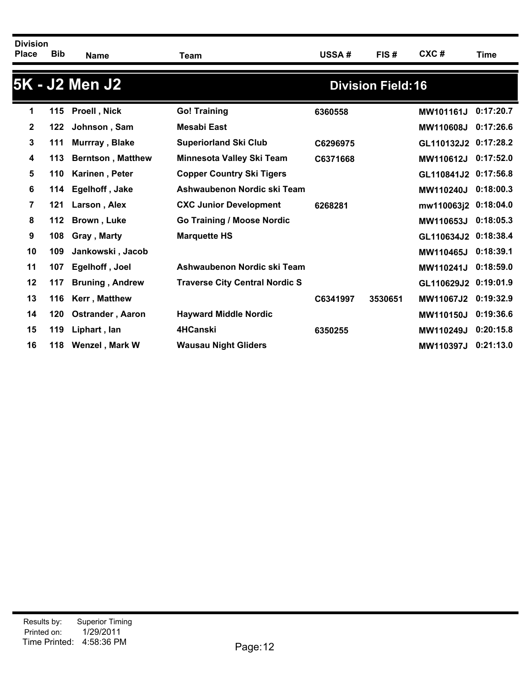| <b>Division</b><br><b>Place</b> | <b>Bib</b> |                          |                                       |          |                           | CXC#                 |           |
|---------------------------------|------------|--------------------------|---------------------------------------|----------|---------------------------|----------------------|-----------|
|                                 |            | <b>Name</b>              | Team                                  | USSA#    | FIS#                      |                      | Time      |
|                                 |            | 5K - J2 Men J2           |                                       |          | <b>Division Field: 16</b> |                      |           |
| 1                               | 115        | <b>Proell, Nick</b>      | <b>Go! Training</b>                   | 6360558  |                           | MW101161J            | 0:17:20.7 |
| $\mathbf{2}$                    | 122        | Johnson, Sam             | <b>Mesabi East</b>                    |          |                           | MW110608J            | 0:17:26.6 |
| 3                               | 111        | Murrray, Blake           | <b>Superiorland Ski Club</b>          | C6296975 |                           | GL110132J2 0:17:28.2 |           |
| 4                               | 113        | <b>Berntson, Matthew</b> | Minnesota Valley Ski Team             | C6371668 |                           | MW110612J            | 0:17:52.0 |
| 5                               | 110        | Karinen, Peter           | <b>Copper Country Ski Tigers</b>      |          |                           | GL110841J2 0:17:56.8 |           |
| 6                               | 114        | Egelhoff, Jake           | Ashwaubenon Nordic ski Team           |          |                           | <b>MW110240J</b>     | 0:18:00.3 |
| 7                               | 121        | Larson, Alex             | <b>CXC Junior Development</b>         | 6268281  |                           | mw110063j2 0:18:04.0 |           |
| 8                               | 112        | Brown, Luke              | <b>Go Training / Moose Nordic</b>     |          |                           | MW110653J            | 0:18:05.3 |
| 9                               | 108        | Gray, Marty              | <b>Marquette HS</b>                   |          |                           | GL110634J2 0:18:38.4 |           |
| 10                              | 109        | Jankowski, Jacob         |                                       |          |                           | MW110465J            | 0:18:39.1 |
| 11                              | 107        | Egelhoff, Joel           | Ashwaubenon Nordic ski Team           |          |                           | MW110241J            | 0:18:59.0 |
| $12 \,$                         | 117        | <b>Bruning, Andrew</b>   | <b>Traverse City Central Nordic S</b> |          |                           | GL110629J2 0:19:01.9 |           |
| 13                              | 116        | Kerr, Matthew            |                                       | C6341997 | 3530651                   | <b>MW11067J2</b>     | 0:19:32.9 |
| 14                              | 120        | <b>Ostrander, Aaron</b>  | <b>Hayward Middle Nordic</b>          |          |                           | <b>MW110150J</b>     | 0:19:36.6 |
| 15                              | 119        | Liphart, lan             | 4HCanski                              | 6350255  |                           | MW110249J            | 0:20:15.8 |
| 16                              | 118        | Wenzel, Mark W           | <b>Wausau Night Gliders</b>           |          |                           | <b>MW110397J</b>     | 0:21:13.0 |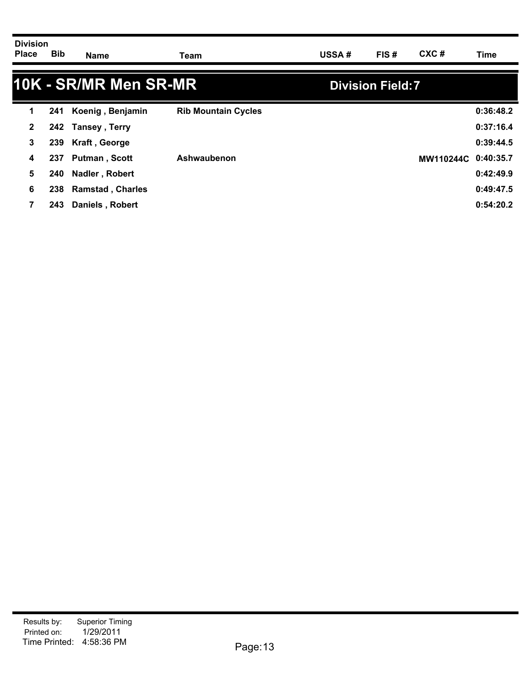| <b>Division</b> |            |             |      |              |      |      |      |
|-----------------|------------|-------------|------|--------------|------|------|------|
| <b>Place</b>    | <b>Bib</b> | <b>Name</b> | Team | <b>USSA#</b> | FIS# | CXC# | Time |
|                 |            |             |      |              |      |      |      |
|                 |            | _____       |      |              |      |      |      |

3

|              |      | 10K - SR/MR Men SR-MR   |                            | <b>Division Field:7</b> |           |
|--------------|------|-------------------------|----------------------------|-------------------------|-----------|
| 1            | 241  | Koenig, Benjamin        | <b>Rib Mountain Cycles</b> |                         | 0:36:48.2 |
| $\mathbf{2}$ |      | 242 Tansey, Terry       |                            |                         | 0:37:16.4 |
| 3            | 239  | Kraft, George           |                            |                         | 0:39:44.5 |
| 4            | 237  | <b>Putman, Scott</b>    | Ashwaubenon                | MW110244C 0:40:35.7     |           |
| 5            | 240  | Nadler, Robert          |                            |                         | 0:42:49.9 |
| 6            | 238  | <b>Ramstad, Charles</b> |                            |                         | 0:49:47.5 |
| 7            | 243. | Daniels, Robert         |                            |                         | 0:54:20.2 |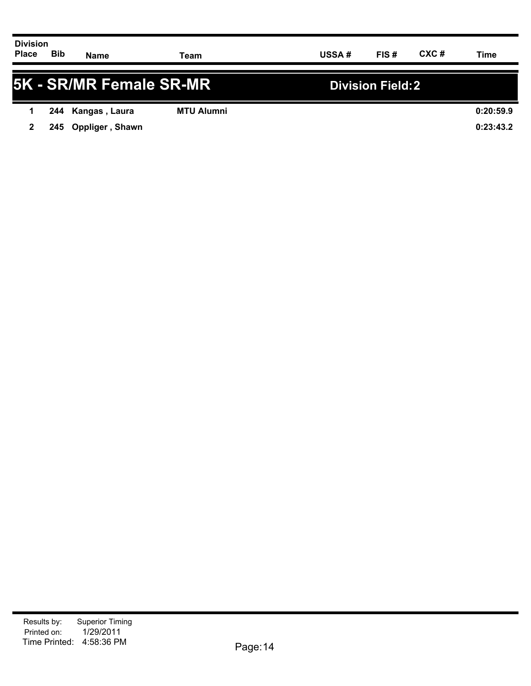| <b>Division</b><br><b>Place</b> | <b>Bib</b> | <b>Name</b>         | Team              | <b>USSA#</b> | FIS#             | CXC# | Time      |
|---------------------------------|------------|---------------------|-------------------|--------------|------------------|------|-----------|
| 5K - SR/MR Female SR-MR         |            |                     |                   |              | Division Field:2 |      |           |
|                                 |            | 244 Kangas, Laura   | <b>MTU Alumni</b> |              |                  |      | 0:20:59.9 |
| 2                               |            | 245 Oppliger, Shawn |                   |              |                  |      | 0:23:43.2 |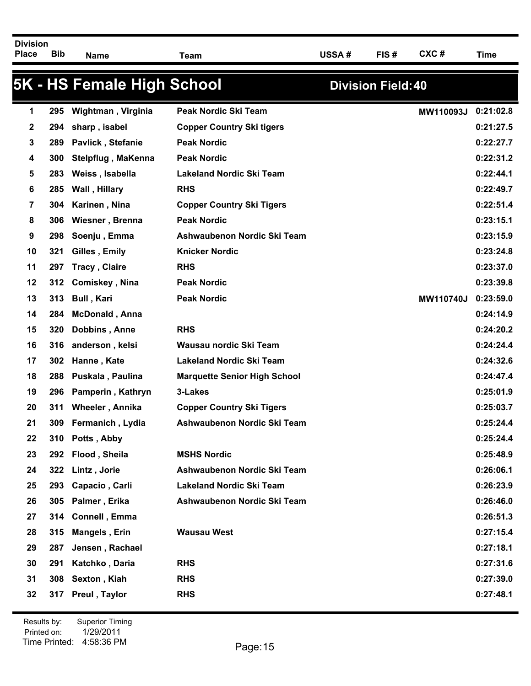Bib <sub>Name</sub> Team USSA # FIS # CXC # Time **Division Place Name Team USSA # FIS # CXC #**

| Time |
|------|
|      |

### **5K - HS Female High School Division Field:40 295 Wightman , Virginia Peak Nordic Ski Team MW110093J 0:21:02.8 294 sharp , isabel Copper Country Ski tigers 0:21:27.5 289 Pavlick , Stefanie Peak Nordic 0:22:27.7 300 Stelpflug , MaKenna Peak Nordic 0:22:31.2 283 Weiss , Isabella Lakeland Nordic Ski Team 0:22:44.1 285 Wall , Hillary RHS 0:22:49.7 304 Karinen , Nina Copper Country Ski Tigers 0:22:51.4 306 Wiesner , Brenna Peak Nordic 0:23:15.1 298 Soenju , Emma Ashwaubenon Nordic Ski Team 0:23:15.9 321 Gilles , Emily Knicker Nordic 0:23:24.8 297 Tracy , Claire RHS 0:23:37.0 312 Comiskey , Nina Peak Nordic 0:23:39.8 313 Bull , Kari Peak Nordic MW110740J 0:23:59.0 284 McDonald , Anna 0:24:14.9 320 Dobbins , Anne RHS 0:24:20.2 316 anderson , kelsi Wausau nordic Ski Team 0:24:24.4 302 Hanne , Kate Lakeland Nordic Ski Team 0:24:32.6 288 Puskala , Paulina Marquette Senior High School 0:24:47.4 296 Pamperin , Kathryn 3-Lakes 0:25:01.9 311 Wheeler , Annika Copper Country Ski Tigers 0:25:03.7 309 Fermanich , Lydia Ashwaubenon Nordic Ski Team 0:25:24.4 310 Potts , Abby 0:25:24.4 292 Flood , Sheila MSHS Nordic 0:25:48.9 322 Lintz , Jorie Ashwaubenon Nordic Ski Team 0:26:06.1 293 Capacio , Carli Lakeland Nordic Ski Team 0:26:23.9 305 Palmer , Erika Ashwaubenon Nordic Ski Team 0:26:46.0 314 Connell , Emma 0:26:51.3 315 Mangels , Erin Wausau West 0:27:15.4 287 Jensen , Rachael 0:27:18.1 291 Katchko , Daria RHS 0:27:31.6 308 Sexton , Kiah RHS 0:27:39.0 317 Preul , Taylor RHS 0:27:48.1**

Printed on: Time Printed: 4:58:36 PMResults by: Superior Timing 1/29/2011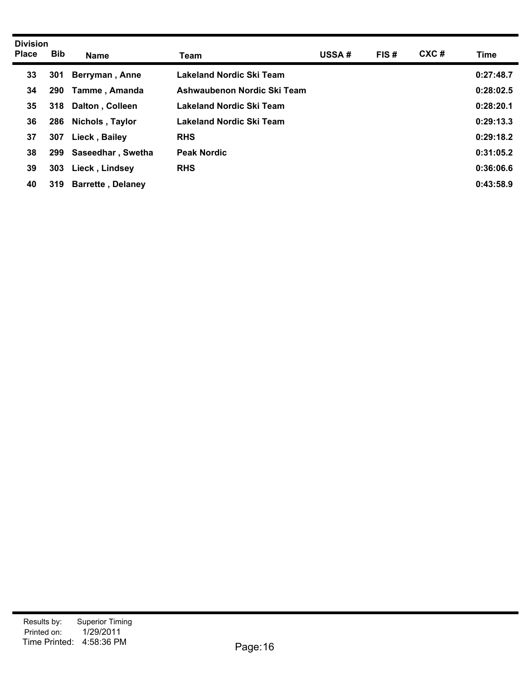| <b>Bib</b> | <b>Name</b>                                                             | Team                                                                                                                                                             | <b>USSA#</b>                                                                                                                                                      | FIS# | CXC# | Time      |
|------------|-------------------------------------------------------------------------|------------------------------------------------------------------------------------------------------------------------------------------------------------------|-------------------------------------------------------------------------------------------------------------------------------------------------------------------|------|------|-----------|
|            |                                                                         |                                                                                                                                                                  |                                                                                                                                                                   |      |      | 0:27:48.7 |
|            |                                                                         |                                                                                                                                                                  |                                                                                                                                                                   |      |      | 0:28:02.5 |
|            |                                                                         |                                                                                                                                                                  |                                                                                                                                                                   |      |      | 0:28:20.1 |
|            |                                                                         |                                                                                                                                                                  |                                                                                                                                                                   |      |      | 0:29:13.3 |
|            |                                                                         |                                                                                                                                                                  |                                                                                                                                                                   |      |      | 0:29:18.2 |
|            |                                                                         |                                                                                                                                                                  |                                                                                                                                                                   |      |      | 0:31:05.2 |
|            |                                                                         |                                                                                                                                                                  |                                                                                                                                                                   |      |      | 0:36:06.6 |
|            |                                                                         |                                                                                                                                                                  |                                                                                                                                                                   |      |      | 0:43:58.9 |
|            | <b>Division</b><br>301<br>290<br>318<br>286<br>307<br>299<br>303<br>319 | Berryman, Anne<br><b>Tamme, Amanda</b><br>Dalton, Colleen<br>Nichols, Taylor<br>Lieck, Bailey<br>Saseedhar, Swetha<br>Lieck, Lindsey<br><b>Barrette, Delaney</b> | Lakeland Nordic Ski Team<br>Ashwaubenon Nordic Ski Team<br>Lakeland Nordic Ski Team<br>Lakeland Nordic Ski Team<br><b>RHS</b><br><b>Peak Nordic</b><br><b>RHS</b> |      |      |           |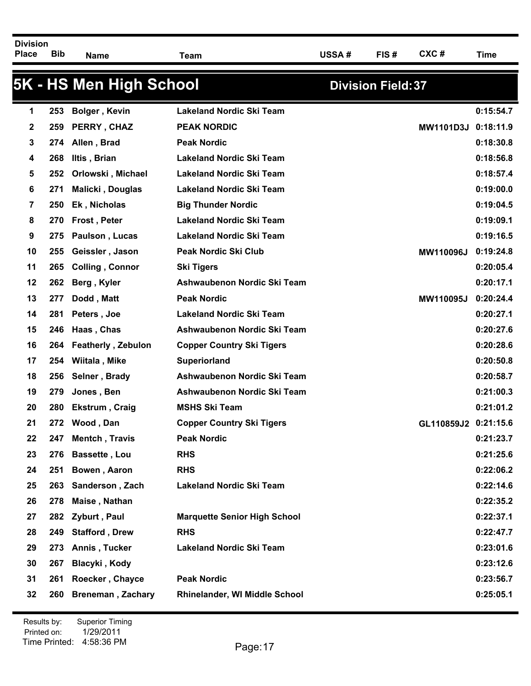Bib <sub>Name</sub> Team USSA # FIS # CXC # Time

|    |     | 5K - HS Men High School   |                                     | <b>Division Field: 37</b> |           |
|----|-----|---------------------------|-------------------------------------|---------------------------|-----------|
| 1  | 253 | <b>Bolger, Kevin</b>      | <b>Lakeland Nordic Ski Team</b>     |                           | 0:15:54.7 |
| 2  | 259 | PERRY, CHAZ               | <b>PEAK NORDIC</b>                  | <b>MW1101D3J</b>          | 0:18:11.9 |
| 3  | 274 | Allen, Brad               | <b>Peak Nordic</b>                  |                           | 0:18:30.8 |
| 4  | 268 | Iltis, Brian              | <b>Lakeland Nordic Ski Team</b>     |                           | 0:18:56.8 |
| 5  | 252 | Orlowski, Michael         | <b>Lakeland Nordic Ski Team</b>     |                           | 0:18:57.4 |
| 6  | 271 | Malicki, Douglas          | <b>Lakeland Nordic Ski Team</b>     |                           | 0:19:00.0 |
| 7  | 250 | Ek, Nicholas              | <b>Big Thunder Nordic</b>           |                           | 0:19:04.5 |
| 8  | 270 | Frost, Peter              | <b>Lakeland Nordic Ski Team</b>     |                           | 0:19:09.1 |
| 9  | 275 | Paulson, Lucas            | <b>Lakeland Nordic Ski Team</b>     |                           | 0:19:16.5 |
| 10 | 255 | Geissler, Jason           | Peak Nordic Ski Club                | MW110096J                 | 0:19:24.8 |
| 11 | 265 | <b>Colling, Connor</b>    | <b>Ski Tigers</b>                   |                           | 0:20:05.4 |
| 12 | 262 | Berg, Kyler               | Ashwaubenon Nordic Ski Team         |                           | 0:20:17.1 |
| 13 | 277 | Dodd, Matt                | <b>Peak Nordic</b>                  | MW110095J                 | 0:20:24.4 |
| 14 | 281 | Peters, Joe               | <b>Lakeland Nordic Ski Team</b>     |                           | 0:20:27.1 |
| 15 | 246 | Haas, Chas                | Ashwaubenon Nordic Ski Team         |                           | 0:20:27.6 |
| 16 | 264 | <b>Featherly, Zebulon</b> | <b>Copper Country Ski Tigers</b>    |                           | 0:20:28.6 |
| 17 | 254 | Wiitala, Mike             | <b>Superiorland</b>                 |                           | 0:20:50.8 |
| 18 | 256 | Selner, Brady             | Ashwaubenon Nordic Ski Team         |                           | 0:20:58.7 |
| 19 | 279 | Jones, Ben                | Ashwaubenon Nordic Ski Team         |                           | 0:21:00.3 |
| 20 | 280 | Ekstrum, Craig            | <b>MSHS Ski Team</b>                |                           | 0:21:01.2 |
| 21 | 272 | Wood, Dan                 | <b>Copper Country Ski Tigers</b>    | GL110859J2 0:21:15.6      |           |
| 22 | 247 | Mentch, Travis            | <b>Peak Nordic</b>                  |                           | 0:21:23.7 |
| 23 | 276 | <b>Bassette, Lou</b>      | <b>RHS</b>                          |                           | 0:21:25.6 |
| 24 | 251 | Bowen, Aaron              | <b>RHS</b>                          |                           | 0:22:06.2 |
| 25 | 263 | Sanderson, Zach           | <b>Lakeland Nordic Ski Team</b>     |                           | 0:22:14.6 |
| 26 | 278 | Maise, Nathan             |                                     |                           | 0:22:35.2 |
| 27 | 282 | Zyburt, Paul              | <b>Marquette Senior High School</b> |                           | 0:22:37.1 |
| 28 | 249 | <b>Stafford, Drew</b>     | <b>RHS</b>                          |                           | 0:22:47.7 |
| 29 | 273 | Annis, Tucker             | <b>Lakeland Nordic Ski Team</b>     |                           | 0:23:01.6 |
| 30 | 267 | Blacyki, Kody             |                                     |                           | 0:23:12.6 |
| 31 | 261 | Roecker, Chayce           | <b>Peak Nordic</b>                  |                           | 0:23:56.7 |
| 32 | 260 | <b>Breneman, Zachary</b>  | Rhinelander, WI Middle School       |                           | 0:25:05.1 |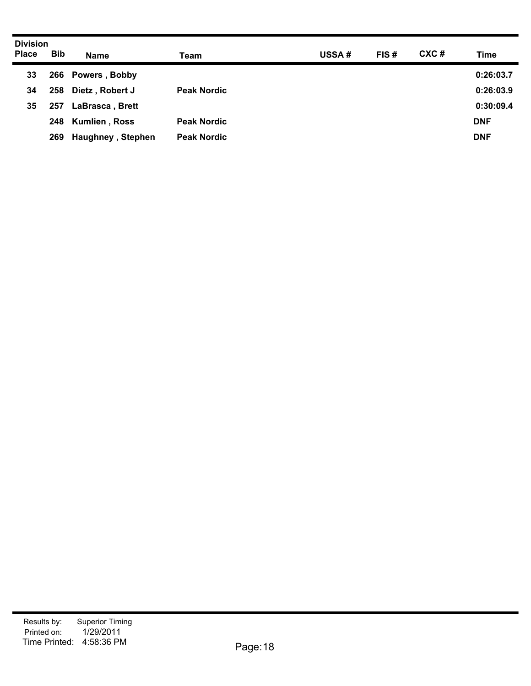| <b>Division</b> |            |                          |                    |       |      |      |            |
|-----------------|------------|--------------------------|--------------------|-------|------|------|------------|
| <b>Place</b>    | <b>Bib</b> | <b>Name</b>              | Team               | USSA# | FIS# | CXC# | Time       |
| 33              |            | 266 Powers, Bobby        |                    |       |      |      | 0:26:03.7  |
| 34              | 258        | Dietz, Robert J          | <b>Peak Nordic</b> |       |      |      | 0:26:03.9  |
| 35              | 257        | LaBrasca, Brett          |                    |       |      |      | 0:30:09.4  |
|                 | 248        | <b>Kumlien, Ross</b>     | <b>Peak Nordic</b> |       |      |      | <b>DNF</b> |
|                 | 269        | <b>Haughney, Stephen</b> | <b>Peak Nordic</b> |       |      |      | <b>DNF</b> |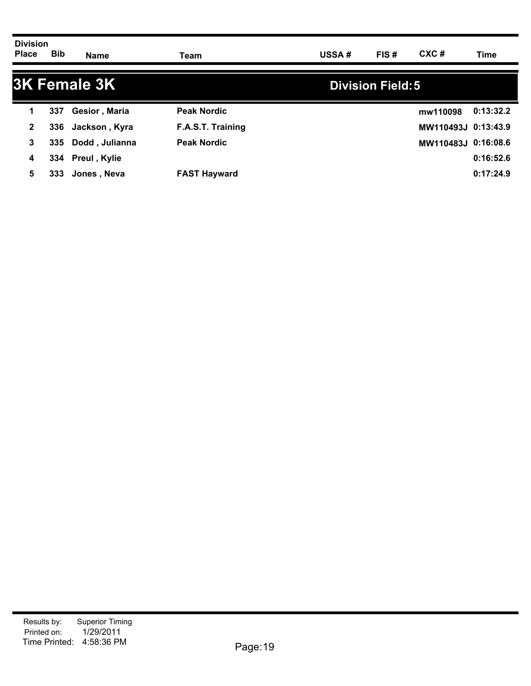| <b>Division</b><br><b>Place</b> | <b>Bib</b> | <b>Name</b>         | Team                | <b>USSA#</b> | FIS#                     | CXC#                | Time      |
|---------------------------------|------------|---------------------|---------------------|--------------|--------------------------|---------------------|-----------|
|                                 |            | <b>3K Female 3K</b> |                     |              | <b>Division Field: 5</b> |                     |           |
| 1                               | 337        | Gesior, Maria       | <b>Peak Nordic</b>  |              |                          | mw110098            | 0:13:32.2 |
| $\mathbf{2}$                    | 336        | Jackson , Kyra      | F.A.S.T. Training   |              |                          | MW110493J 0:13:43.9 |           |
| 3                               |            | 335 Dodd, Julianna  | <b>Peak Nordic</b>  |              |                          | MW110483J 0:16:08.6 |           |
| 4                               |            | 334 Preul, Kylie    |                     |              |                          |                     | 0:16:52.6 |
| 5                               | 333.       | Jones, Neva         | <b>FAST Hayward</b> |              |                          |                     | 0:17:24.9 |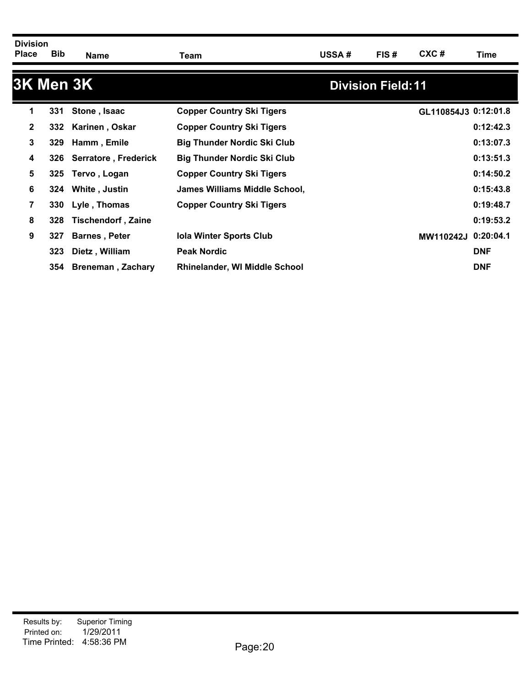| <b>Division</b><br><b>Place</b> | Bib | Name                        | Team                                 | <b>USSA#</b> | FIS#                      | $CXC$ #              | Time       |
|---------------------------------|-----|-----------------------------|--------------------------------------|--------------|---------------------------|----------------------|------------|
|                                 |     | <b>3K Men 3K</b>            |                                      |              | <b>Division Field: 11</b> |                      |            |
| 1                               | 331 | Stone, Isaac                | <b>Copper Country Ski Tigers</b>     |              |                           | GL110854J3 0:12:01.8 |            |
| $\mathbf{2}$                    | 332 | Karinen, Oskar              | <b>Copper Country Ski Tigers</b>     |              |                           |                      | 0:12:42.3  |
| 3                               | 329 | Hamm, Emile                 | <b>Big Thunder Nordic Ski Club</b>   |              |                           |                      | 0:13:07.3  |
| 4                               | 326 | <b>Serratore, Frederick</b> | <b>Big Thunder Nordic Ski Club</b>   |              |                           |                      | 0:13:51.3  |
| 5                               | 325 | Tervo, Logan                | <b>Copper Country Ski Tigers</b>     |              |                           |                      | 0:14:50.2  |
| 6                               | 324 | White, Justin               | James Williams Middle School,        |              |                           |                      | 0:15:43.8  |
| 7                               | 330 | Lyle, Thomas                | <b>Copper Country Ski Tigers</b>     |              |                           |                      | 0:19:48.7  |
| 8                               | 328 | <b>Tischendorf, Zaine</b>   |                                      |              |                           |                      | 0:19:53.2  |
| 9                               | 327 | <b>Barnes, Peter</b>        | <b>Iola Winter Sports Club</b>       |              |                           | <b>MW110242J</b>     | 0:20:04.1  |
|                                 | 323 | Dietz, William              | <b>Peak Nordic</b>                   |              |                           |                      | <b>DNF</b> |
|                                 | 354 | <b>Breneman, Zachary</b>    | <b>Rhinelander, WI Middle School</b> |              |                           |                      | <b>DNF</b> |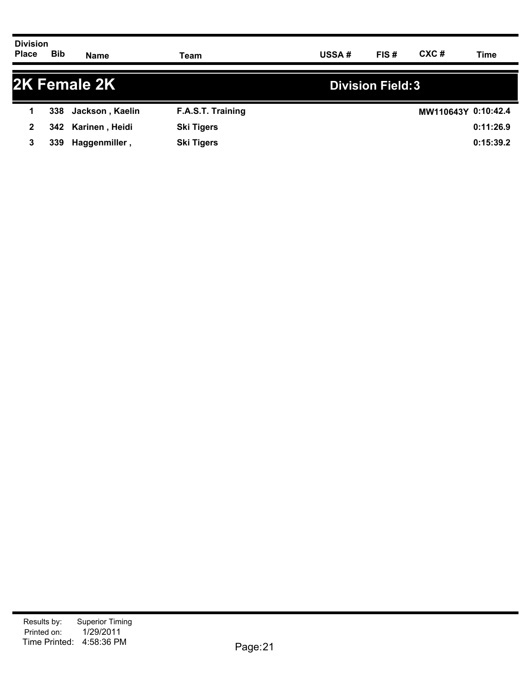| <b>Division</b><br><b>Place</b> | <b>Bib</b> | <b>Name</b>     | Team              | USSA# | FIS#                     | CXC# | Time                |
|---------------------------------|------------|-----------------|-------------------|-------|--------------------------|------|---------------------|
|                                 |            | 2K Female 2K    |                   |       | <b>Division Field: 3</b> |      |                     |
|                                 | 338        | Jackson, Kaelin | F.A.S.T. Training |       |                          |      | MW110643Y 0:10:42.4 |
|                                 | 342.       | Karinen, Heidi  | <b>Ski Tigers</b> |       |                          |      | 0:11:26.9           |

**3 339 Haggenmiller , Ski Tigers 0:15:39.2**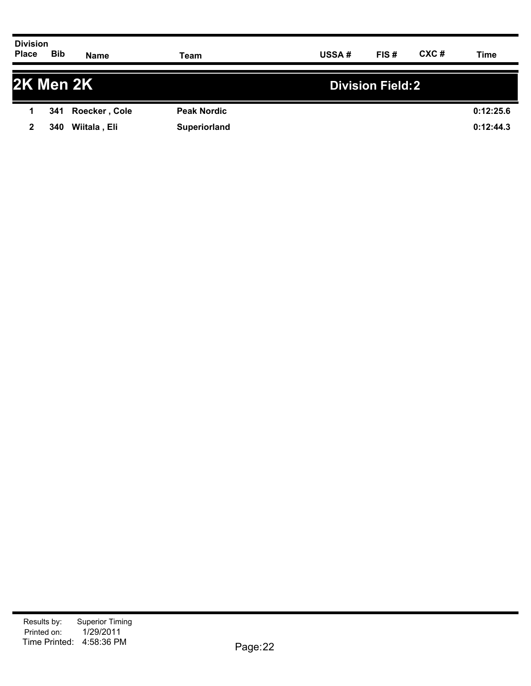| <b>Division</b><br><b>Place</b> | <b>Bib</b> | <b>Name</b>   | Team               | <b>USSA#</b> | FIS#                    | CXC# | Time      |
|---------------------------------|------------|---------------|--------------------|--------------|-------------------------|------|-----------|
|                                 |            | 2K Men 2K     |                    |              | <b>Division Field:2</b> |      |           |
|                                 | 341        | Roecker, Cole | <b>Peak Nordic</b> |              |                         |      | 0:12:25.6 |
| $\mathbf{2}$                    | 340        | Wiitala, Eli  | Superiorland       |              |                         |      | 0:12:44.3 |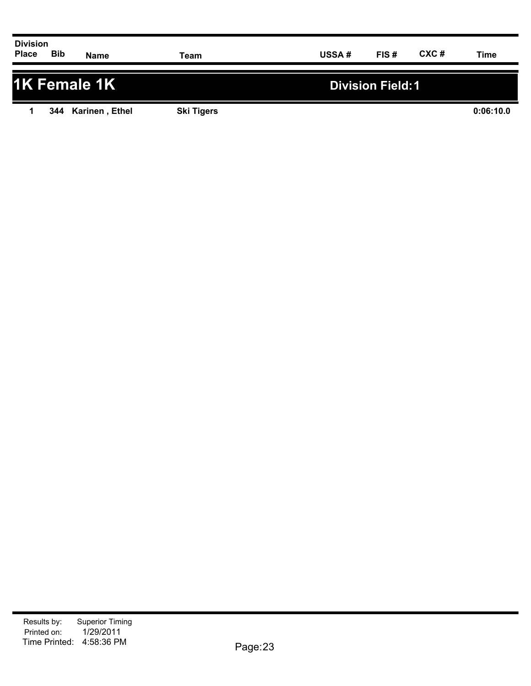| <b>Division</b><br><b>Place</b>                                                                                                                                                                                                                                                                                                                                                                                                                                                                         | Bib | <b>Name</b> | Team | USSA# | FIS# | CXC# | <b>Time</b> |
|---------------------------------------------------------------------------------------------------------------------------------------------------------------------------------------------------------------------------------------------------------------------------------------------------------------------------------------------------------------------------------------------------------------------------------------------------------------------------------------------------------|-----|-------------|------|-------|------|------|-------------|
|                                                                                                                                                                                                                                                                                                                                                                                                                                                                                                         |     |             |      |       |      |      |             |
| $\blacksquare$ $\blacksquare$ $\blacksquare$ $\blacksquare$ $\blacksquare$ $\blacksquare$ $\blacksquare$ $\blacksquare$ $\blacksquare$ $\blacksquare$ $\blacksquare$ $\blacksquare$ $\blacksquare$ $\blacksquare$ $\blacksquare$ $\blacksquare$ $\blacksquare$ $\blacksquare$ $\blacksquare$ $\blacksquare$ $\blacksquare$ $\blacksquare$ $\blacksquare$ $\blacksquare$ $\blacksquare$ $\blacksquare$ $\blacksquare$ $\blacksquare$ $\blacksquare$ $\blacksquare$ $\blacksquare$ $\blacks$<br>_________ |     |             |      |       |      |      |             |

## **1K Female 1K Division Field:1 1 344 Karinen , Ethel Ski Tigers 0:06:10.0**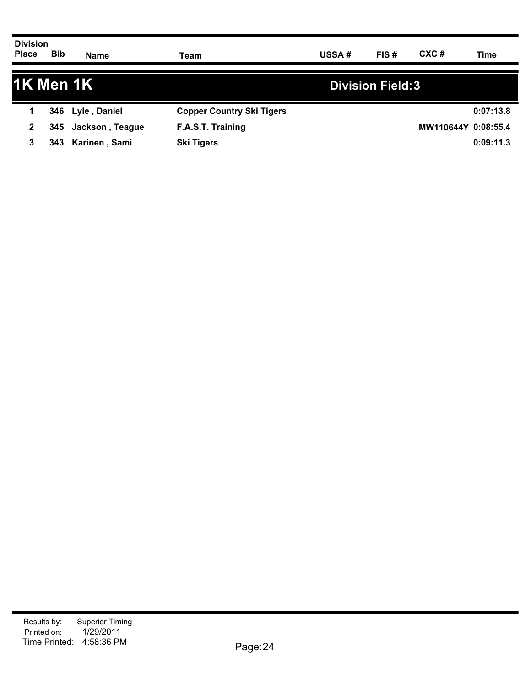| <b>Division</b><br><b>Place</b> | <b>Bib</b> | <b>Name</b>      | Team                             | <b>USSA#</b> | FIS# | CXC#                | Time      |
|---------------------------------|------------|------------------|----------------------------------|--------------|------|---------------------|-----------|
| 1K Men 1K                       |            |                  | <b>Division Field: 3</b>         |              |      |                     |           |
|                                 |            | 346 Lyle, Daniel | <b>Copper Country Ski Tigers</b> |              |      |                     | 0:07:13.8 |
| $\mathbf{2}$                    | 345        | Jackson, Teague  | F.A.S.T. Training                |              |      | MW110644Y 0:08:55.4 |           |

**3 343 Karinen , Sami Ski Tigers 0:09:11.3**